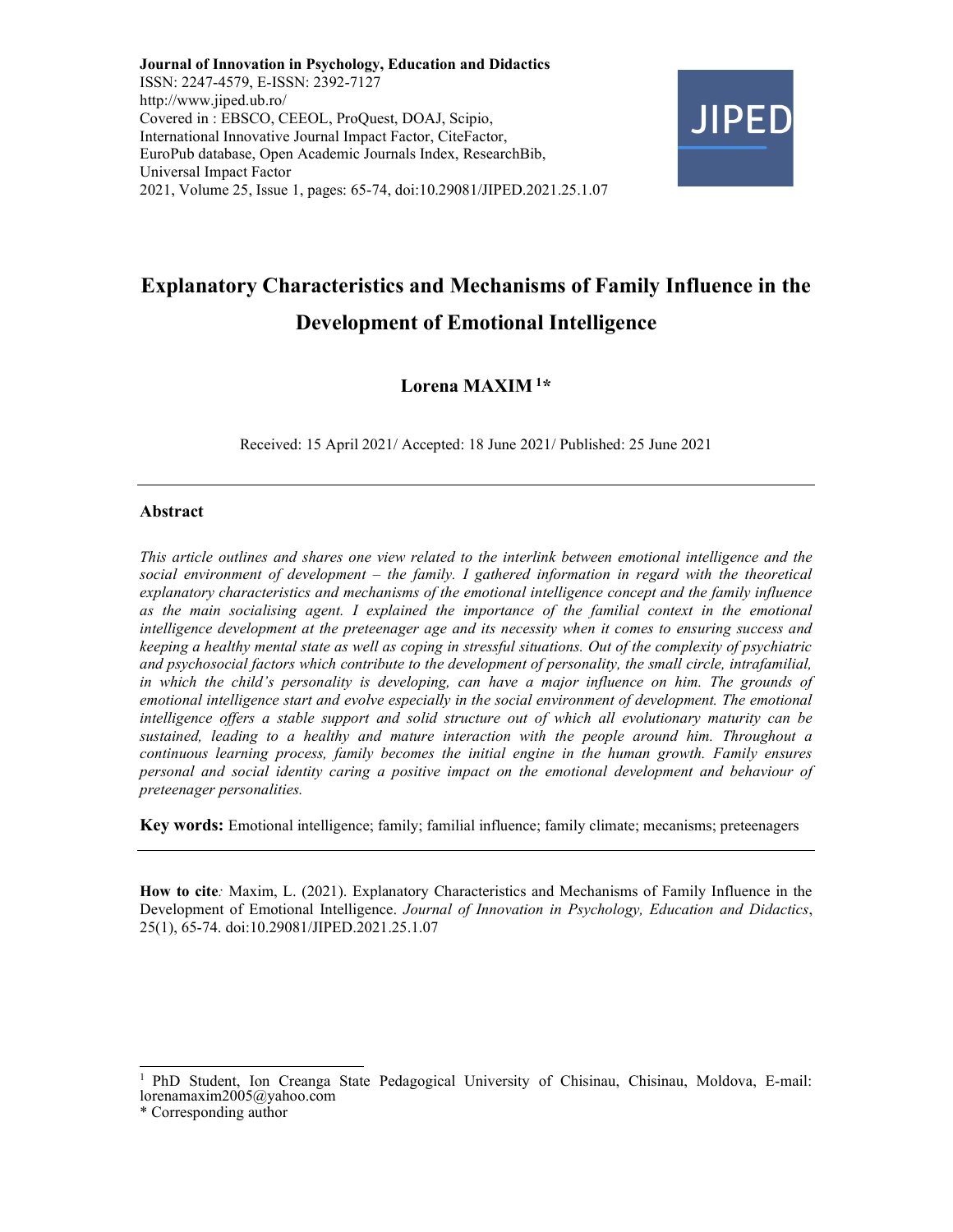Journal of Innovation in Psychology, Education and Didactics ISSN: 2247-4579, E-ISSN: 2392-7127 http://www.jiped.ub.ro/ Covered in : EBSCO, CEEOL, ProQuest, DOAJ, Scipio, International Innovative Journal Impact Factor, CiteFactor, EuroPub database, Open Academic Journals Index, ResearchBib, Universal Impact Factor 2021, Volume 25, Issue 1, pages: 65-74, doi:10.29081/JIPED.2021.25.1.07



# Explanatory Characteristics and Mechanisms of Family Influence in the Development of Emotional Intelligence

# Lorena MAXIM<sup>1\*</sup>

Received: 15 April 2021/ Accepted: 18 June 2021/ Published: 25 June 2021

#### Abstract

This article outlines and shares one view related to the interlink between emotional intelligence and the social environment of development – the family. I gathered information in regard with the theoretical explanatory characteristics and mechanisms of the emotional intelligence concept and the family influence as the main socialising agent. I explained the importance of the familial context in the emotional intelligence development at the preteenager age and its necessity when it comes to ensuring success and keeping a healthy mental state as well as coping in stressful situations. Out of the complexity of psychiatric and psychosocial factors which contribute to the development of personality, the small circle, intrafamilial, in which the child's personality is developing, can have a major influence on him. The grounds of emotional intelligence start and evolve especially in the social environment of development. The emotional intelligence offers a stable support and solid structure out of which all evolutionary maturity can be sustained, leading to a healthy and mature interaction with the people around him. Throughout a continuous learning process, family becomes the initial engine in the human growth. Family ensures personal and social identity caring a positive impact on the emotional development and behaviour of preteenager personalities.

Key words: Emotional intelligence; family; familial influence; family climate; mecanisms; preteenagers

How to cite: Maxim, L. (2021). Explanatory Characteristics and Mechanisms of Family Influence in the Development of Emotional Intelligence. Journal of Innovation in Psychology, Education and Didactics, 25(1), 65-74. doi:10.29081/JIPED.2021.25.1.07

<sup>1</sup>PhD Student, Ion Creanga State Pedagogical University of Chisinau, Chisinau, Moldova, E-mail: lorenamaxim2005@yahoo.com

<sup>\*</sup> Corresponding author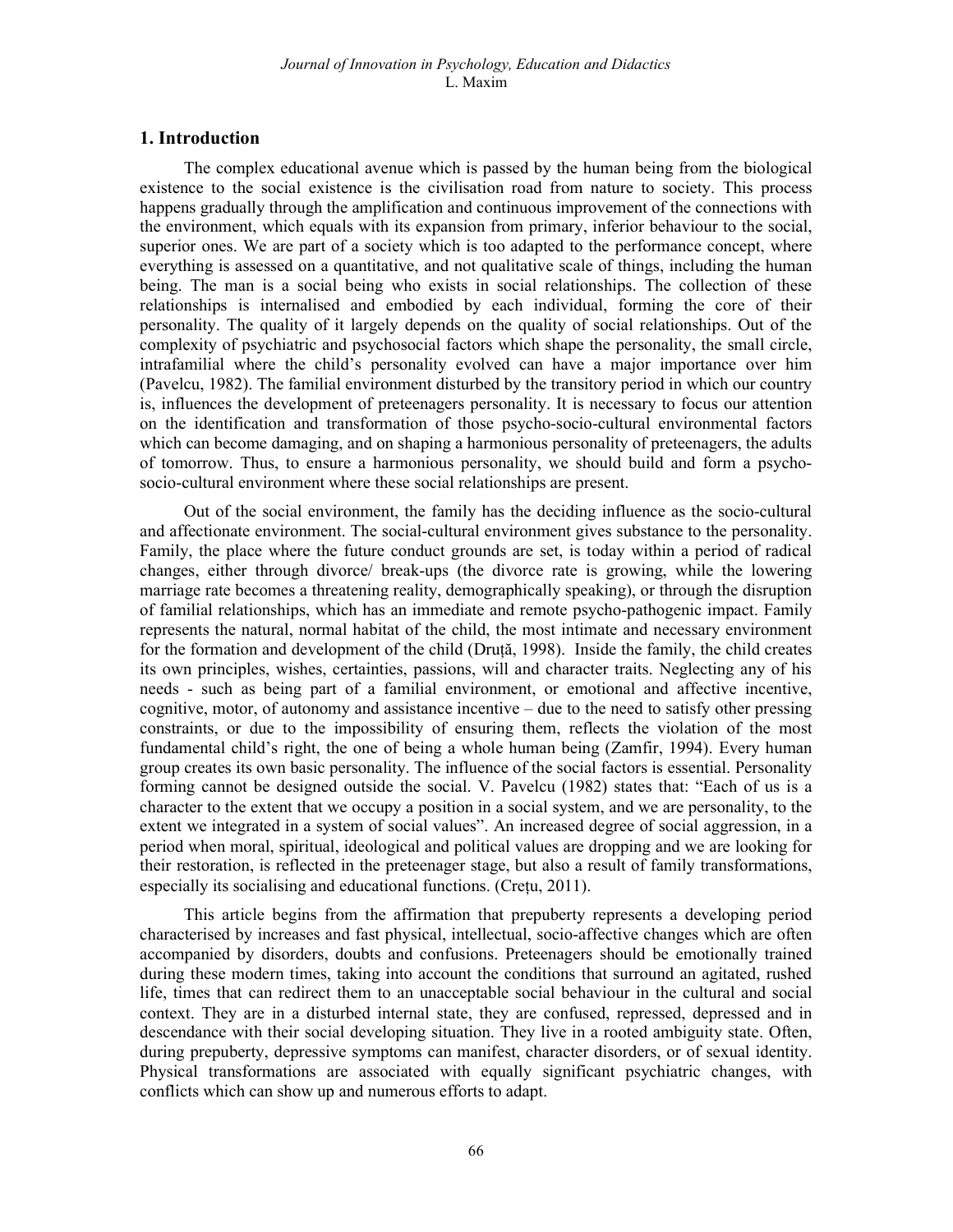#### 1. Introduction

The complex educational avenue which is passed by the human being from the biological existence to the social existence is the civilisation road from nature to society. This process happens gradually through the amplification and continuous improvement of the connections with the environment, which equals with its expansion from primary, inferior behaviour to the social, superior ones. We are part of a society which is too adapted to the performance concept, where everything is assessed on a quantitative, and not qualitative scale of things, including the human being. The man is a social being who exists in social relationships. The collection of these relationships is internalised and embodied by each individual, forming the core of their personality. The quality of it largely depends on the quality of social relationships. Out of the complexity of psychiatric and psychosocial factors which shape the personality, the small circle, intrafamilial where the child's personality evolved can have a major importance over him (Pavelcu, 1982). The familial environment disturbed by the transitory period in which our country is, influences the development of preteenagers personality. It is necessary to focus our attention on the identification and transformation of those psycho-socio-cultural environmental factors which can become damaging, and on shaping a harmonious personality of preteenagers, the adults of tomorrow. Thus, to ensure a harmonious personality, we should build and form a psychosocio-cultural environment where these social relationships are present.

Out of the social environment, the family has the deciding influence as the socio-cultural and affectionate environment. The social-cultural environment gives substance to the personality. Family, the place where the future conduct grounds are set, is today within a period of radical changes, either through divorce/ break-ups (the divorce rate is growing, while the lowering marriage rate becomes a threatening reality, demographically speaking), or through the disruption of familial relationships, which has an immediate and remote psycho-pathogenic impact. Family represents the natural, normal habitat of the child, the most intimate and necessary environment for the formation and development of the child (Druță, 1998). Inside the family, the child creates its own principles, wishes, certainties, passions, will and character traits. Neglecting any of his needs - such as being part of a familial environment, or emotional and affective incentive, cognitive, motor, of autonomy and assistance incentive – due to the need to satisfy other pressing constraints, or due to the impossibility of ensuring them, reflects the violation of the most fundamental child's right, the one of being a whole human being (Zamfir, 1994). Every human group creates its own basic personality. The influence of the social factors is essential. Personality forming cannot be designed outside the social. V. Pavelcu (1982) states that: "Each of us is a character to the extent that we occupy a position in a social system, and we are personality, to the extent we integrated in a system of social values". An increased degree of social aggression, in a period when moral, spiritual, ideological and political values are dropping and we are looking for their restoration, is reflected in the preteenager stage, but also a result of family transformations, especially its socialising and educational functions. (Crețu, 2011).

This article begins from the affirmation that prepuberty represents a developing period characterised by increases and fast physical, intellectual, socio-affective changes which are often accompanied by disorders, doubts and confusions. Preteenagers should be emotionally trained during these modern times, taking into account the conditions that surround an agitated, rushed life, times that can redirect them to an unacceptable social behaviour in the cultural and social context. They are in a disturbed internal state, they are confused, repressed, depressed and in descendance with their social developing situation. They live in a rooted ambiguity state. Often, during prepuberty, depressive symptoms can manifest, character disorders, or of sexual identity. Physical transformations are associated with equally significant psychiatric changes, with conflicts which can show up and numerous efforts to adapt.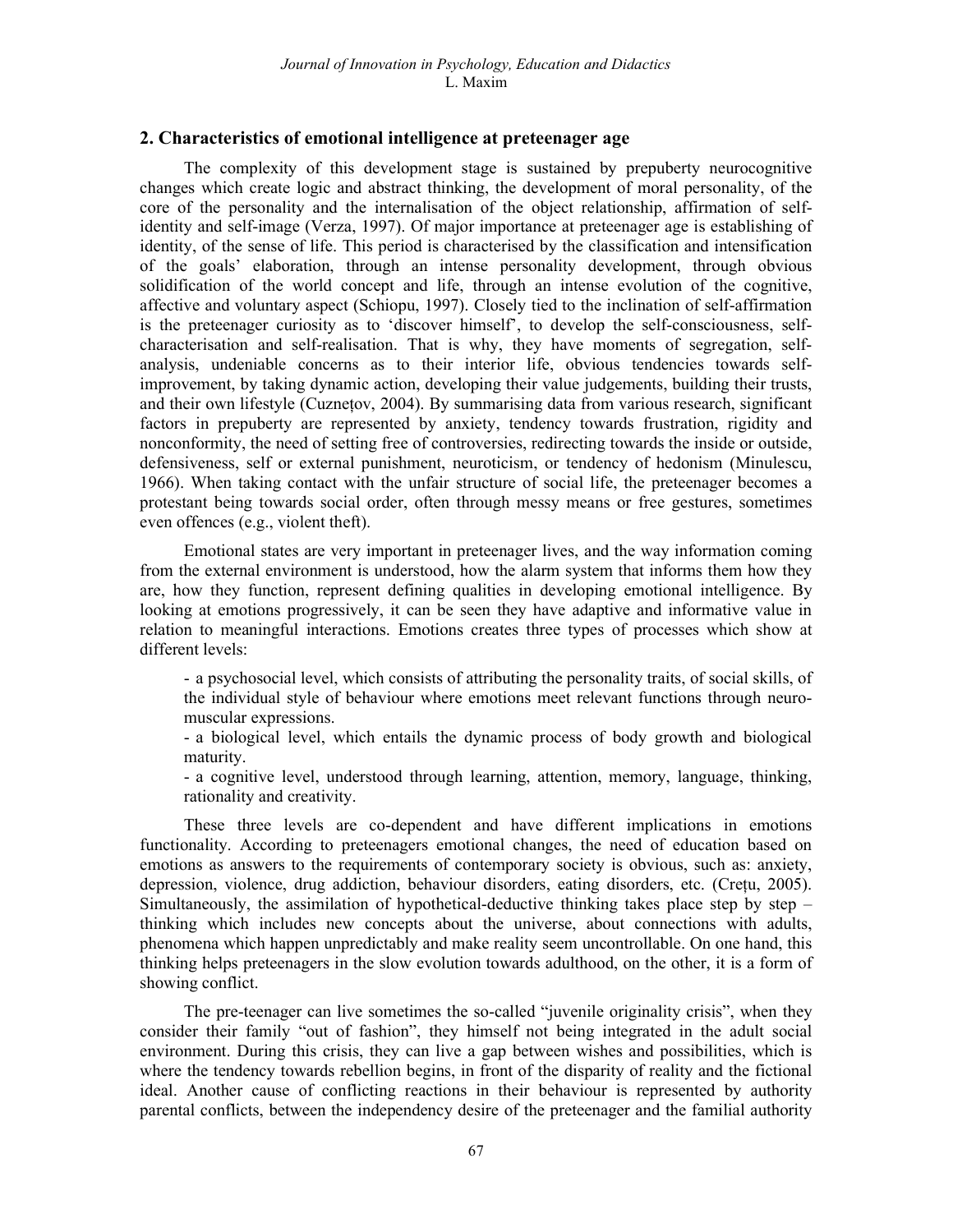#### 2. Characteristics of emotional intelligence at preteenager age

The complexity of this development stage is sustained by prepuberty neurocognitive changes which create logic and abstract thinking, the development of moral personality, of the core of the personality and the internalisation of the object relationship, affirmation of selfidentity and self-image (Verza, 1997). Of major importance at preteenager age is establishing of identity, of the sense of life. This period is characterised by the classification and intensification of the goals' elaboration, through an intense personality development, through obvious solidification of the world concept and life, through an intense evolution of the cognitive, affective and voluntary aspect (Schiopu, 1997). Closely tied to the inclination of self-affirmation is the preteenager curiosity as to 'discover himself', to develop the self-consciousness, selfcharacterisation and self-realisation. That is why, they have moments of segregation, selfanalysis, undeniable concerns as to their interior life, obvious tendencies towards selfimprovement, by taking dynamic action, developing their value judgements, building their trusts, and their own lifestyle (Cuznetov, 2004). By summarising data from various research, significant factors in prepuberty are represented by anxiety, tendency towards frustration, rigidity and nonconformity, the need of setting free of controversies, redirecting towards the inside or outside, defensiveness, self or external punishment, neuroticism, or tendency of hedonism (Minulescu, 1966). When taking contact with the unfair structure of social life, the preteenager becomes a protestant being towards social order, often through messy means or free gestures, sometimes even offences (e.g., violent theft).

Emotional states are very important in preteenager lives, and the way information coming from the external environment is understood, how the alarm system that informs them how they are, how they function, represent defining qualities in developing emotional intelligence. By looking at emotions progressively, it can be seen they have adaptive and informative value in relation to meaningful interactions. Emotions creates three types of processes which show at different levels:

- a psychosocial level, which consists of attributing the personality traits, of social skills, of the individual style of behaviour where emotions meet relevant functions through neuromuscular expressions.

- a biological level, which entails the dynamic process of body growth and biological maturity.

- a cognitive level, understood through learning, attention, memory, language, thinking, rationality and creativity.

These three levels are co-dependent and have different implications in emotions functionality. According to preteenagers emotional changes, the need of education based on emotions as answers to the requirements of contemporary society is obvious, such as: anxiety, depression, violence, drug addiction, behaviour disorders, eating disorders, etc. (Crețu, 2005). Simultaneously, the assimilation of hypothetical-deductive thinking takes place step by step – thinking which includes new concepts about the universe, about connections with adults, phenomena which happen unpredictably and make reality seem uncontrollable. On one hand, this thinking helps preteenagers in the slow evolution towards adulthood, on the other, it is a form of showing conflict.

The pre-teenager can live sometimes the so-called "juvenile originality crisis", when they consider their family "out of fashion", they himself not being integrated in the adult social environment. During this crisis, they can live a gap between wishes and possibilities, which is where the tendency towards rebellion begins, in front of the disparity of reality and the fictional ideal. Another cause of conflicting reactions in their behaviour is represented by authority parental conflicts, between the independency desire of the preteenager and the familial authority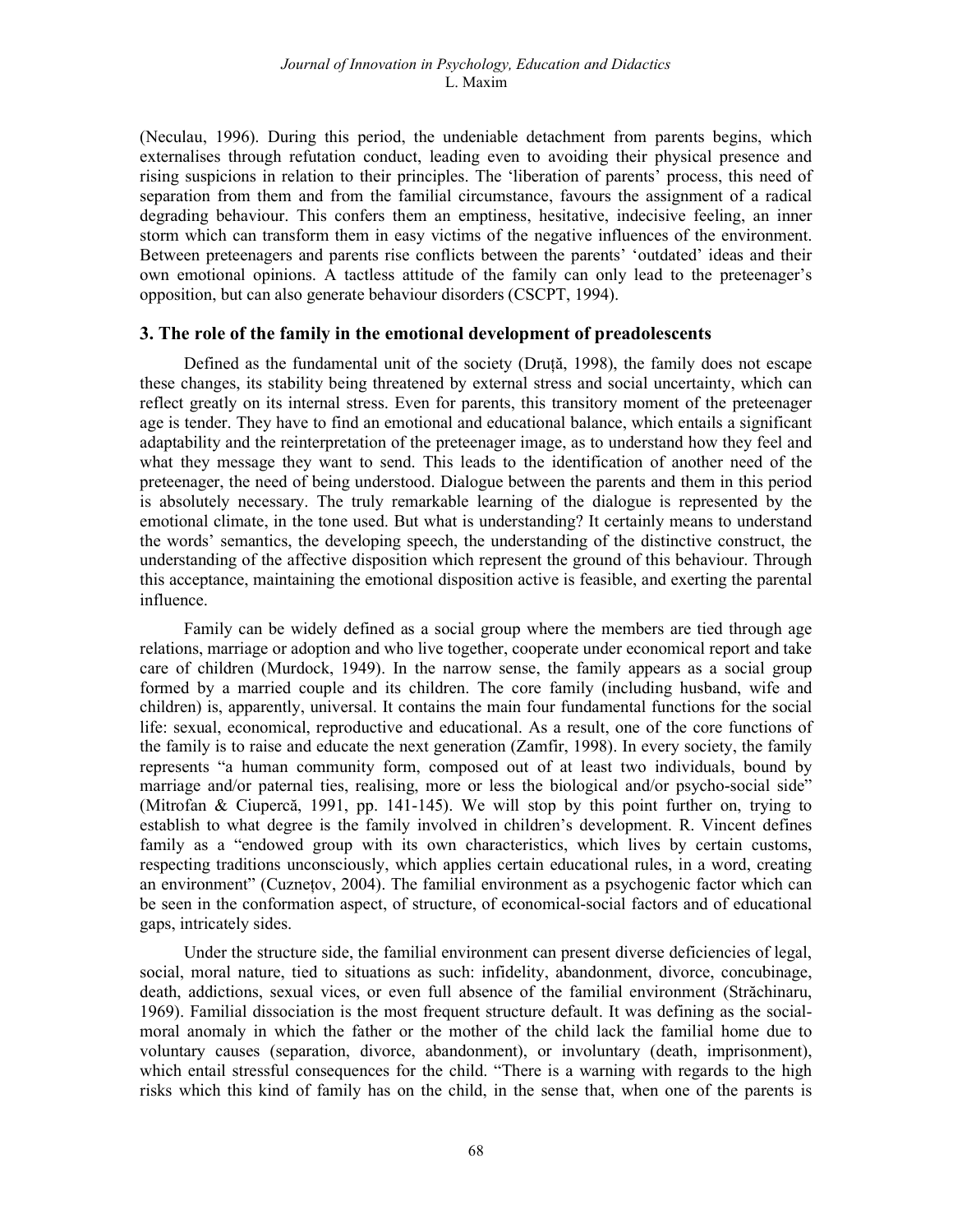(Neculau, 1996). During this period, the undeniable detachment from parents begins, which externalises through refutation conduct, leading even to avoiding their physical presence and rising suspicions in relation to their principles. The 'liberation of parents' process, this need of separation from them and from the familial circumstance, favours the assignment of a radical degrading behaviour. This confers them an emptiness, hesitative, indecisive feeling, an inner storm which can transform them in easy victims of the negative influences of the environment. Between preteenagers and parents rise conflicts between the parents' 'outdated' ideas and their own emotional opinions. A tactless attitude of the family can only lead to the preteenager's opposition, but can also generate behaviour disorders (CSCPT, 1994).

#### 3. The role of the family in the emotional development of preadolescents

Defined as the fundamental unit of the society (Druță, 1998), the family does not escape these changes, its stability being threatened by external stress and social uncertainty, which can reflect greatly on its internal stress. Even for parents, this transitory moment of the preteenager age is tender. They have to find an emotional and educational balance, which entails a significant adaptability and the reinterpretation of the preteenager image, as to understand how they feel and what they message they want to send. This leads to the identification of another need of the preteenager, the need of being understood. Dialogue between the parents and them in this period is absolutely necessary. The truly remarkable learning of the dialogue is represented by the emotional climate, in the tone used. But what is understanding? It certainly means to understand the words' semantics, the developing speech, the understanding of the distinctive construct, the understanding of the affective disposition which represent the ground of this behaviour. Through this acceptance, maintaining the emotional disposition active is feasible, and exerting the parental influence.

Family can be widely defined as a social group where the members are tied through age relations, marriage or adoption and who live together, cooperate under economical report and take care of children (Murdock, 1949). In the narrow sense, the family appears as a social group formed by a married couple and its children. The core family (including husband, wife and children) is, apparently, universal. It contains the main four fundamental functions for the social life: sexual, economical, reproductive and educational. As a result, one of the core functions of the family is to raise and educate the next generation (Zamfir, 1998). In every society, the family represents "a human community form, composed out of at least two individuals, bound by marriage and/or paternal ties, realising, more or less the biological and/or psycho-social side" (Mitrofan & Ciupercă, 1991, pp. 141-145). We will stop by this point further on, trying to establish to what degree is the family involved in children's development. R. Vincent defines family as a "endowed group with its own characteristics, which lives by certain customs, respecting traditions unconsciously, which applies certain educational rules, in a word, creating an environment" (Cuznețov, 2004). The familial environment as a psychogenic factor which can be seen in the conformation aspect, of structure, of economical-social factors and of educational gaps, intricately sides.

Under the structure side, the familial environment can present diverse deficiencies of legal, social, moral nature, tied to situations as such: infidelity, abandonment, divorce, concubinage, death, addictions, sexual vices, or even full absence of the familial environment (Străchinaru, 1969). Familial dissociation is the most frequent structure default. It was defining as the socialmoral anomaly in which the father or the mother of the child lack the familial home due to voluntary causes (separation, divorce, abandonment), or involuntary (death, imprisonment), which entail stressful consequences for the child. "There is a warning with regards to the high risks which this kind of family has on the child, in the sense that, when one of the parents is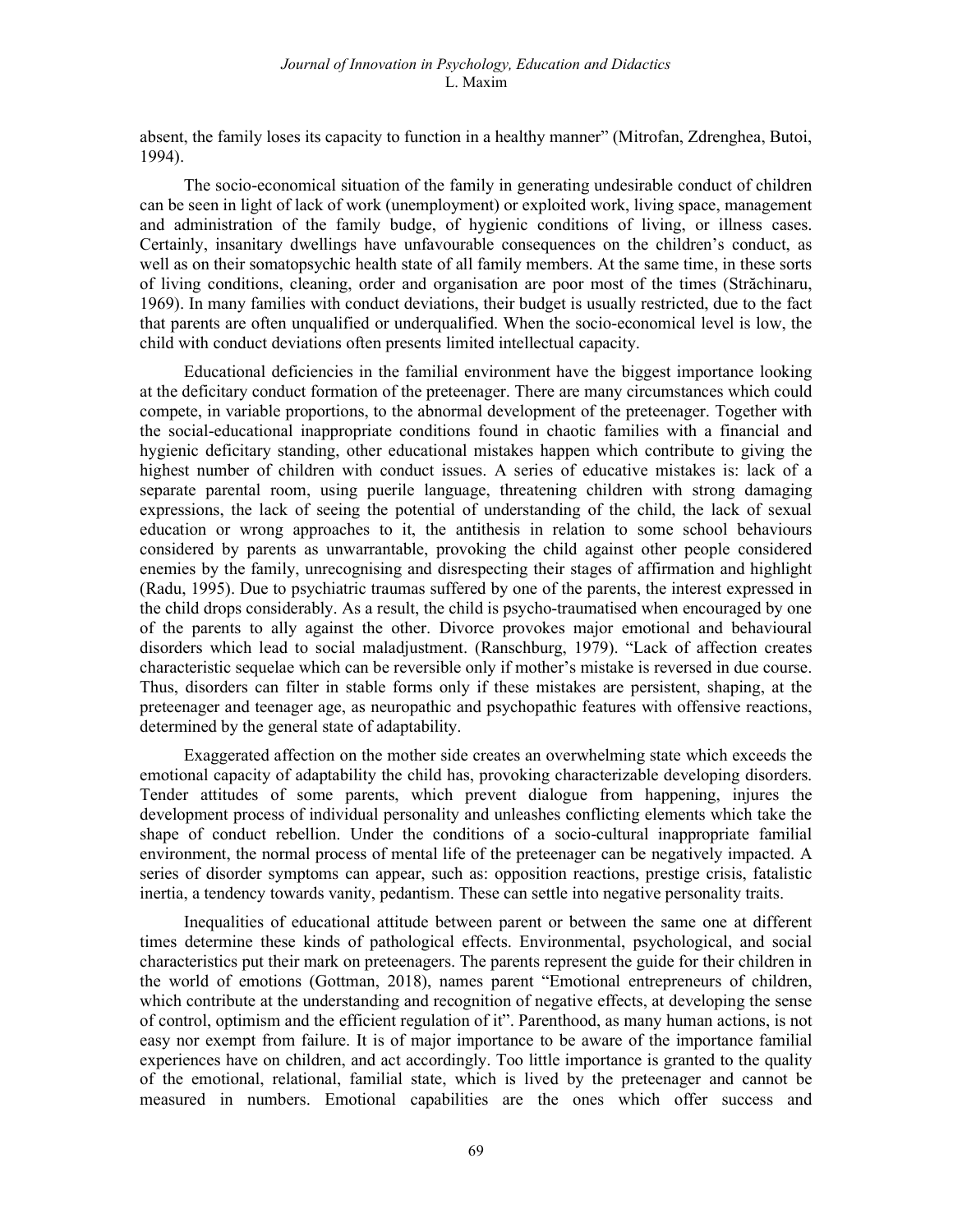absent, the family loses its capacity to function in a healthy manner" (Mitrofan, Zdrenghea, Butoi, 1994).

The socio-economical situation of the family in generating undesirable conduct of children can be seen in light of lack of work (unemployment) or exploited work, living space, management and administration of the family budge, of hygienic conditions of living, or illness cases. Certainly, insanitary dwellings have unfavourable consequences on the children's conduct, as well as on their somatopsychic health state of all family members. At the same time, in these sorts of living conditions, cleaning, order and organisation are poor most of the times (Străchinaru, 1969). In many families with conduct deviations, their budget is usually restricted, due to the fact that parents are often unqualified or underqualified. When the socio-economical level is low, the child with conduct deviations often presents limited intellectual capacity.

Educational deficiencies in the familial environment have the biggest importance looking at the deficitary conduct formation of the preteenager. There are many circumstances which could compete, in variable proportions, to the abnormal development of the preteenager. Together with the social-educational inappropriate conditions found in chaotic families with a financial and hygienic deficitary standing, other educational mistakes happen which contribute to giving the highest number of children with conduct issues. A series of educative mistakes is: lack of a separate parental room, using puerile language, threatening children with strong damaging expressions, the lack of seeing the potential of understanding of the child, the lack of sexual education or wrong approaches to it, the antithesis in relation to some school behaviours considered by parents as unwarrantable, provoking the child against other people considered enemies by the family, unrecognising and disrespecting their stages of affirmation and highlight (Radu, 1995). Due to psychiatric traumas suffered by one of the parents, the interest expressed in the child drops considerably. As a result, the child is psycho-traumatised when encouraged by one of the parents to ally against the other. Divorce provokes major emotional and behavioural disorders which lead to social maladjustment. (Ranschburg, 1979). "Lack of affection creates characteristic sequelae which can be reversible only if mother's mistake is reversed in due course. Thus, disorders can filter in stable forms only if these mistakes are persistent, shaping, at the preteenager and teenager age, as neuropathic and psychopathic features with offensive reactions, determined by the general state of adaptability.

Exaggerated affection on the mother side creates an overwhelming state which exceeds the emotional capacity of adaptability the child has, provoking characterizable developing disorders. Tender attitudes of some parents, which prevent dialogue from happening, injures the development process of individual personality and unleashes conflicting elements which take the shape of conduct rebellion. Under the conditions of a socio-cultural inappropriate familial environment, the normal process of mental life of the preteenager can be negatively impacted. A series of disorder symptoms can appear, such as: opposition reactions, prestige crisis, fatalistic inertia, a tendency towards vanity, pedantism. These can settle into negative personality traits.

Inequalities of educational attitude between parent or between the same one at different times determine these kinds of pathological effects. Environmental, psychological, and social characteristics put their mark on preteenagers. The parents represent the guide for their children in the world of emotions (Gottman, 2018), names parent "Emotional entrepreneurs of children, which contribute at the understanding and recognition of negative effects, at developing the sense of control, optimism and the efficient regulation of it". Parenthood, as many human actions, is not easy nor exempt from failure. It is of major importance to be aware of the importance familial experiences have on children, and act accordingly. Too little importance is granted to the quality of the emotional, relational, familial state, which is lived by the preteenager and cannot be measured in numbers. Emotional capabilities are the ones which offer success and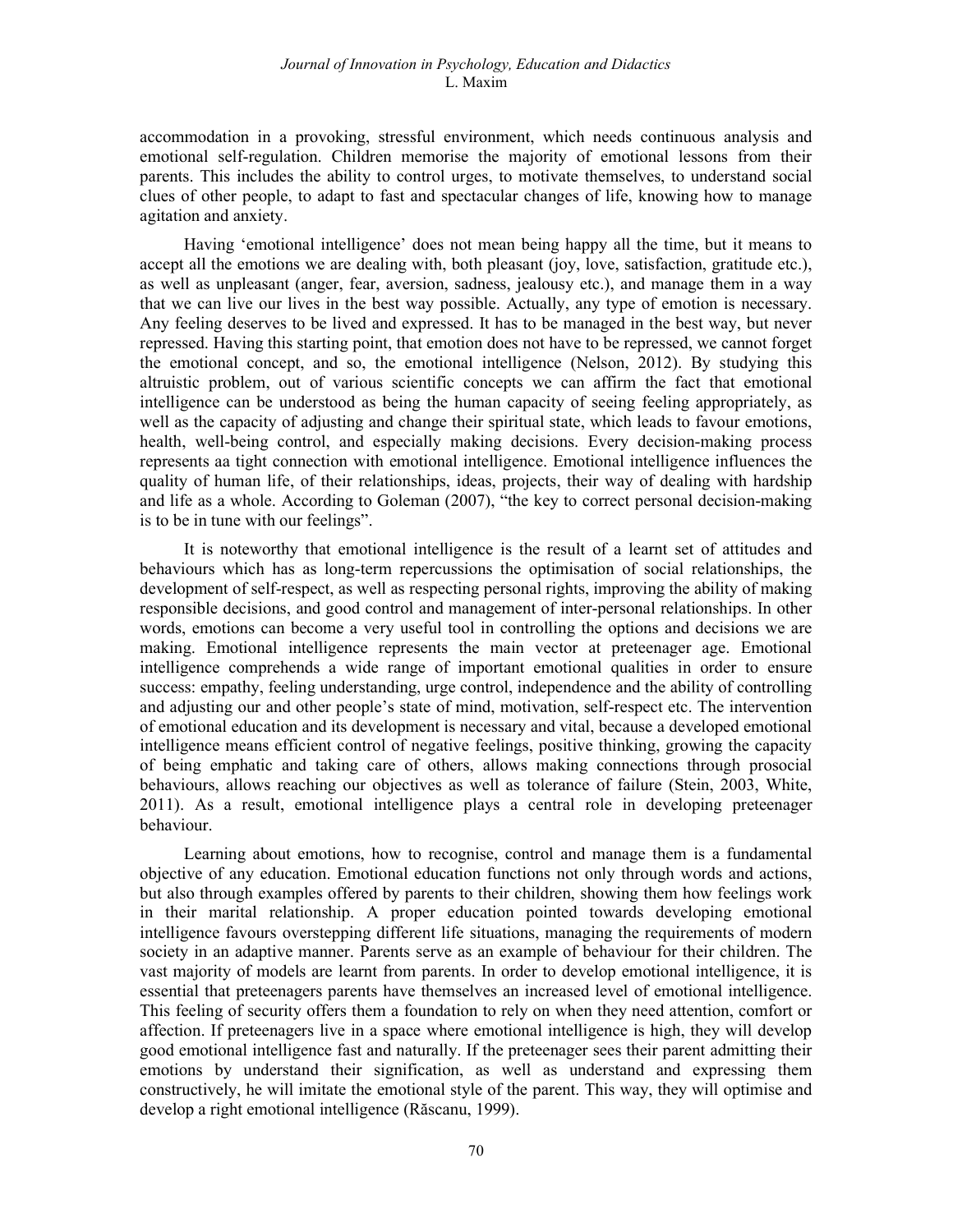#### Journal of Innovation in Psychology, Education and Didactics L. Maxim

accommodation in a provoking, stressful environment, which needs continuous analysis and emotional self-regulation. Children memorise the majority of emotional lessons from their parents. This includes the ability to control urges, to motivate themselves, to understand social clues of other people, to adapt to fast and spectacular changes of life, knowing how to manage agitation and anxiety.

Having 'emotional intelligence' does not mean being happy all the time, but it means to accept all the emotions we are dealing with, both pleasant (joy, love, satisfaction, gratitude etc.), as well as unpleasant (anger, fear, aversion, sadness, jealousy etc.), and manage them in a way that we can live our lives in the best way possible. Actually, any type of emotion is necessary. Any feeling deserves to be lived and expressed. It has to be managed in the best way, but never repressed. Having this starting point, that emotion does not have to be repressed, we cannot forget the emotional concept, and so, the emotional intelligence (Nelson, 2012). By studying this altruistic problem, out of various scientific concepts we can affirm the fact that emotional intelligence can be understood as being the human capacity of seeing feeling appropriately, as well as the capacity of adjusting and change their spiritual state, which leads to favour emotions, health, well-being control, and especially making decisions. Every decision-making process represents aa tight connection with emotional intelligence. Emotional intelligence influences the quality of human life, of their relationships, ideas, projects, their way of dealing with hardship and life as a whole. According to Goleman (2007), "the key to correct personal decision-making is to be in tune with our feelings".

It is noteworthy that emotional intelligence is the result of a learnt set of attitudes and behaviours which has as long-term repercussions the optimisation of social relationships, the development of self-respect, as well as respecting personal rights, improving the ability of making responsible decisions, and good control and management of inter-personal relationships. In other words, emotions can become a very useful tool in controlling the options and decisions we are making. Emotional intelligence represents the main vector at preteenager age. Emotional intelligence comprehends a wide range of important emotional qualities in order to ensure success: empathy, feeling understanding, urge control, independence and the ability of controlling and adjusting our and other people's state of mind, motivation, self-respect etc. The intervention of emotional education and its development is necessary and vital, because a developed emotional intelligence means efficient control of negative feelings, positive thinking, growing the capacity of being emphatic and taking care of others, allows making connections through prosocial behaviours, allows reaching our objectives as well as tolerance of failure (Stein, 2003, White, 2011). As a result, emotional intelligence plays a central role in developing preteenager behaviour.

Learning about emotions, how to recognise, control and manage them is a fundamental objective of any education. Emotional education functions not only through words and actions, but also through examples offered by parents to their children, showing them how feelings work in their marital relationship. A proper education pointed towards developing emotional intelligence favours overstepping different life situations, managing the requirements of modern society in an adaptive manner. Parents serve as an example of behaviour for their children. The vast majority of models are learnt from parents. In order to develop emotional intelligence, it is essential that preteenagers parents have themselves an increased level of emotional intelligence. This feeling of security offers them a foundation to rely on when they need attention, comfort or affection. If preteenagers live in a space where emotional intelligence is high, they will develop good emotional intelligence fast and naturally. If the preteenager sees their parent admitting their emotions by understand their signification, as well as understand and expressing them constructively, he will imitate the emotional style of the parent. This way, they will optimise and develop a right emotional intelligence (Răscanu, 1999).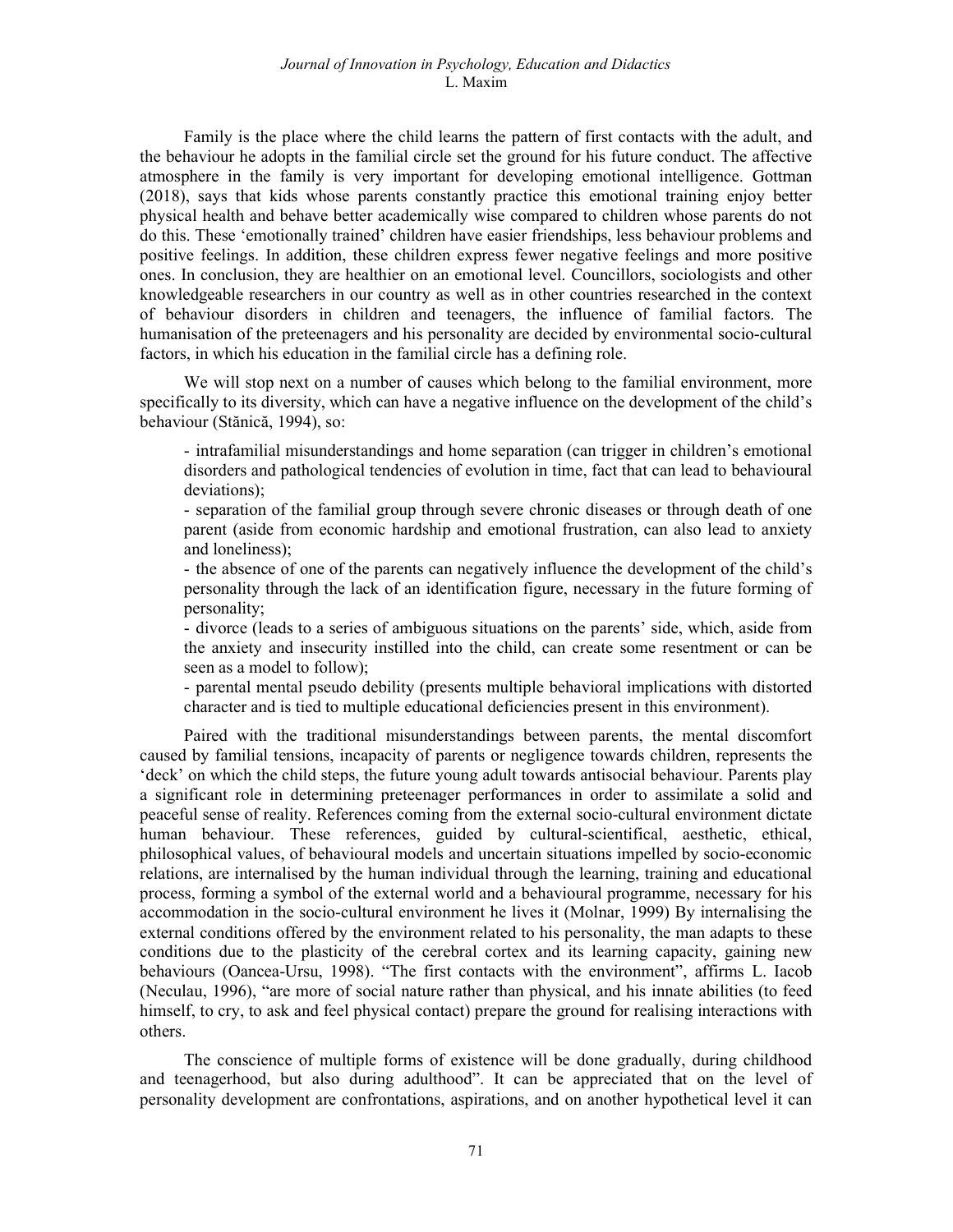Family is the place where the child learns the pattern of first contacts with the adult, and the behaviour he adopts in the familial circle set the ground for his future conduct. The affective atmosphere in the family is very important for developing emotional intelligence. Gottman (2018), says that kids whose parents constantly practice this emotional training enjoy better physical health and behave better academically wise compared to children whose parents do not do this. These 'emotionally trained' children have easier friendships, less behaviour problems and positive feelings. In addition, these children express fewer negative feelings and more positive ones. In conclusion, they are healthier on an emotional level. Councillors, sociologists and other knowledgeable researchers in our country as well as in other countries researched in the context of behaviour disorders in children and teenagers, the influence of familial factors. The humanisation of the preteenagers and his personality are decided by environmental socio-cultural factors, in which his education in the familial circle has a defining role.

We will stop next on a number of causes which belong to the familial environment, more specifically to its diversity, which can have a negative influence on the development of the child's behaviour (Stănică, 1994), so:

- intrafamilial misunderstandings and home separation (can trigger in children's emotional disorders and pathological tendencies of evolution in time, fact that can lead to behavioural deviations);

- separation of the familial group through severe chronic diseases or through death of one parent (aside from economic hardship and emotional frustration, can also lead to anxiety and loneliness);

- the absence of one of the parents can negatively influence the development of the child's personality through the lack of an identification figure, necessary in the future forming of personality;

- divorce (leads to a series of ambiguous situations on the parents' side, which, aside from the anxiety and insecurity instilled into the child, can create some resentment or can be seen as a model to follow);

- parental mental pseudo debility (presents multiple behavioral implications with distorted character and is tied to multiple educational deficiencies present in this environment).

Paired with the traditional misunderstandings between parents, the mental discomfort caused by familial tensions, incapacity of parents or negligence towards children, represents the 'deck' on which the child steps, the future young adult towards antisocial behaviour. Parents play a significant role in determining preteenager performances in order to assimilate a solid and peaceful sense of reality. References coming from the external socio-cultural environment dictate human behaviour. These references, guided by cultural-scientifical, aesthetic, ethical, philosophical values, of behavioural models and uncertain situations impelled by socio-economic relations, are internalised by the human individual through the learning, training and educational process, forming a symbol of the external world and a behavioural programme, necessary for his accommodation in the socio-cultural environment he lives it (Molnar, 1999) By internalising the external conditions offered by the environment related to his personality, the man adapts to these conditions due to the plasticity of the cerebral cortex and its learning capacity, gaining new behaviours (Oancea-Ursu, 1998). "The first contacts with the environment", affirms L. Iacob (Neculau, 1996), "are more of social nature rather than physical, and his innate abilities (to feed himself, to cry, to ask and feel physical contact) prepare the ground for realising interactions with others.

The conscience of multiple forms of existence will be done gradually, during childhood and teenagerhood, but also during adulthood". It can be appreciated that on the level of personality development are confrontations, aspirations, and on another hypothetical level it can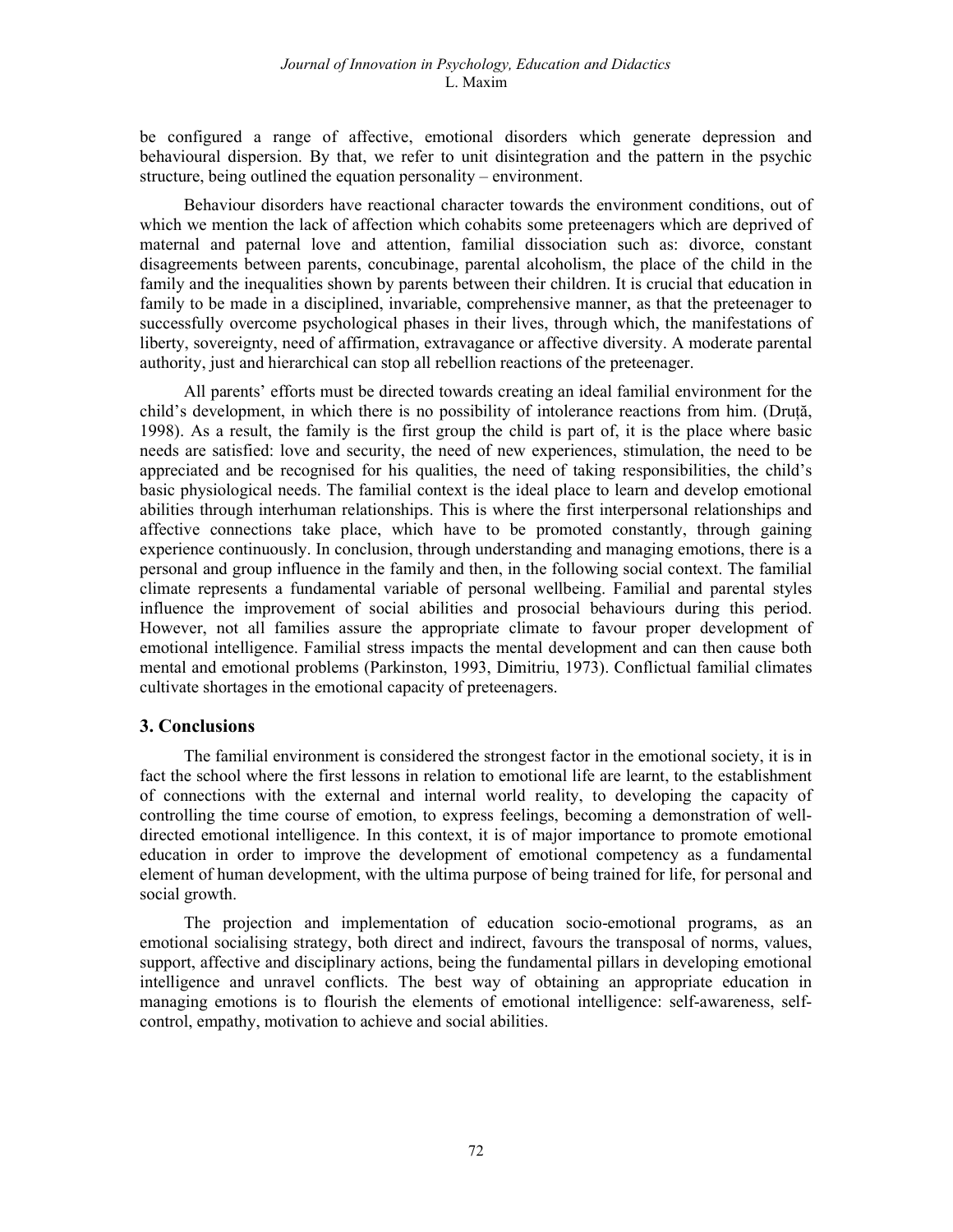be configured a range of affective, emotional disorders which generate depression and behavioural dispersion. By that, we refer to unit disintegration and the pattern in the psychic structure, being outlined the equation personality – environment.

Behaviour disorders have reactional character towards the environment conditions, out of which we mention the lack of affection which cohabits some preteenagers which are deprived of maternal and paternal love and attention, familial dissociation such as: divorce, constant disagreements between parents, concubinage, parental alcoholism, the place of the child in the family and the inequalities shown by parents between their children. It is crucial that education in family to be made in a disciplined, invariable, comprehensive manner, as that the preteenager to successfully overcome psychological phases in their lives, through which, the manifestations of liberty, sovereignty, need of affirmation, extravagance or affective diversity. A moderate parental authority, just and hierarchical can stop all rebellion reactions of the preteenager.

All parents' efforts must be directed towards creating an ideal familial environment for the child's development, in which there is no possibility of intolerance reactions from him. (Druță, 1998). As a result, the family is the first group the child is part of, it is the place where basic needs are satisfied: love and security, the need of new experiences, stimulation, the need to be appreciated and be recognised for his qualities, the need of taking responsibilities, the child's basic physiological needs. The familial context is the ideal place to learn and develop emotional abilities through interhuman relationships. This is where the first interpersonal relationships and affective connections take place, which have to be promoted constantly, through gaining experience continuously. In conclusion, through understanding and managing emotions, there is a personal and group influence in the family and then, in the following social context. The familial climate represents a fundamental variable of personal wellbeing. Familial and parental styles influence the improvement of social abilities and prosocial behaviours during this period. However, not all families assure the appropriate climate to favour proper development of emotional intelligence. Familial stress impacts the mental development and can then cause both mental and emotional problems (Parkinston, 1993, Dimitriu, 1973). Conflictual familial climates cultivate shortages in the emotional capacity of preteenagers.

## 3. Conclusions

The familial environment is considered the strongest factor in the emotional society, it is in fact the school where the first lessons in relation to emotional life are learnt, to the establishment of connections with the external and internal world reality, to developing the capacity of controlling the time course of emotion, to express feelings, becoming a demonstration of welldirected emotional intelligence. In this context, it is of major importance to promote emotional education in order to improve the development of emotional competency as a fundamental element of human development, with the ultima purpose of being trained for life, for personal and social growth.

The projection and implementation of education socio-emotional programs, as an emotional socialising strategy, both direct and indirect, favours the transposal of norms, values, support, affective and disciplinary actions, being the fundamental pillars in developing emotional intelligence and unravel conflicts. The best way of obtaining an appropriate education in managing emotions is to flourish the elements of emotional intelligence: self-awareness, selfcontrol, empathy, motivation to achieve and social abilities.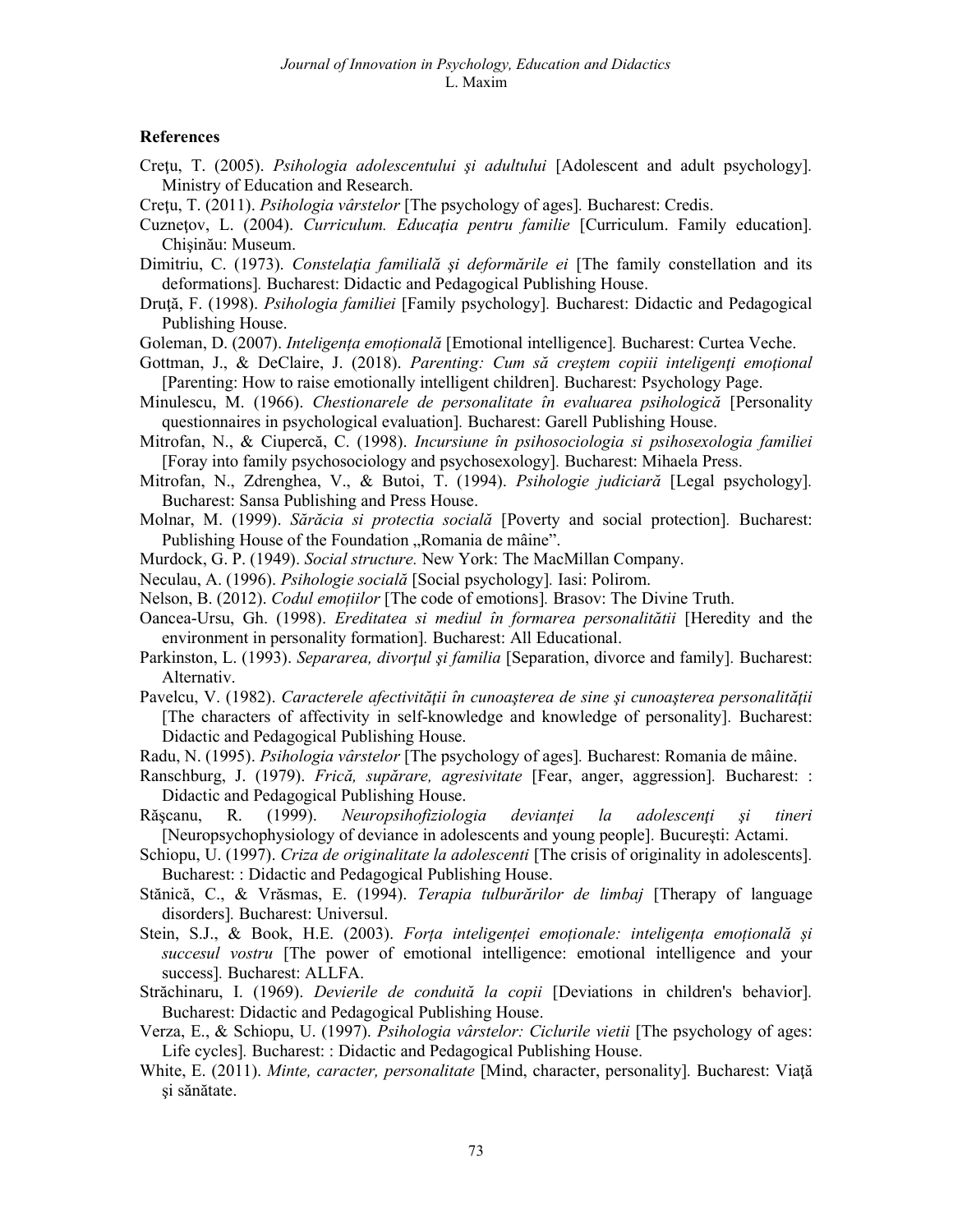## **References**

- Cretu, T. (2005). Psihologia adolescentului și adultului [Adolescent and adult psychology]. Ministry of Education and Research.
- Cretu, T. (2011). Psihologia vârstelor [The psychology of ages]. Bucharest: Credis.
- Cuznetov, L. (2004). Curriculum. Educația pentru familie [Curriculum. Family education]. Chişinău: Museum.
- Dimitriu, C. (1973). Constelația familială și deformările ei [The family constellation and its deformations]. Bucharest: Didactic and Pedagogical Publishing House.
- Druță, F. (1998). *Psihologia familiei* [Family psychology]. Bucharest: Didactic and Pedagogical Publishing House.
- Goleman, D. (2007). *Inteligența emoțională* [Emotional intelligence]. Bucharest: Curtea Veche.
- Gottman, J., & DeClaire, J. (2018). Parenting: Cum să creștem copiii inteligenți emoțional [Parenting: How to raise emotionally intelligent children]. Bucharest: Psychology Page.
- Minulescu, M. (1966). Chestionarele de personalitate în evaluarea psihologică [Personality questionnaires in psychological evaluation]. Bucharest: Garell Publishing House.
- Mitrofan, N., & Ciupercă, C. (1998). Incursiune în psihosociologia si psihosexologia familiei [Foray into family psychosociology and psychosexology]. Bucharest: Mihaela Press.
- Mitrofan, N., Zdrenghea, V., & Butoi, T. (1994). Psihologie judiciară [Legal psychology]. Bucharest: Sansa Publishing and Press House.
- Molnar, M. (1999). Sărăcia si protectia socială [Poverty and social protection]. Bucharest: Publishing House of the Foundation "Romania de mâine".
- Murdock, G. P. (1949). Social structure. New York: The MacMillan Company.
- Neculau, A. (1996). Psihologie socială [Social psychology]. Iasi: Polirom.
- Nelson, B. (2012). Codul emoțiilor [The code of emotions]. Brasov: The Divine Truth.
- Oancea-Ursu, Gh. (1998). Ereditatea si mediul în formarea personalitătii [Heredity and the environment in personality formation]. Bucharest: All Educational.
- Parkinston, L. (1993). Separarea, divortul și familia [Separation, divorce and family]. Bucharest: Alternativ.
- Pavelcu, V. (1982). Caracterele afectivității în cunoașterea de sine și cunoașterea personalității [The characters of affectivity in self-knowledge and knowledge of personality]. Bucharest: Didactic and Pedagogical Publishing House.
- Radu, N. (1995). *Psihologia vârstelor* [The psychology of ages]. Bucharest: Romania de mâine.
- Ranschburg, J. (1979). *Frică, supărare, agresivitate* [Fear, anger, aggression]. Bucharest: : Didactic and Pedagogical Publishing House.
- Rășcanu, R. (1999). Neuropsihofiziologia devianței la adolescenți și tineri [Neuropsychophysiology of deviance in adolescents and young people]. Bucureşti: Actami.
- Schiopu, U. (1997). Criza de originalitate la adolescenti [The crisis of originality in adolescents]. Bucharest: : Didactic and Pedagogical Publishing House.
- Stănică, C., & Vrăsmas, E. (1994). Terapia tulburărilor de limbaj [Therapy of language disorders]. Bucharest: Universul.
- Stein, S.J., & Book, H.E. (2003). Forța inteligenței emoționale: inteligența emoțională și succesul vostru [The power of emotional intelligence: emotional intelligence and your success]. Bucharest: ALLFA.
- Străchinaru, I. (1969). Devierile de conduită la copii [Deviations in children's behavior]. Bucharest: Didactic and Pedagogical Publishing House.
- Verza, E., & Schiopu, U. (1997). Psihologia vârstelor: Ciclurile vietii [The psychology of ages: Life cycles]. Bucharest: : Didactic and Pedagogical Publishing House.
- White, E. (2011). Minte, caracter, personalitate [Mind, character, personality]. Bucharest: Viaţă şi sănătate.